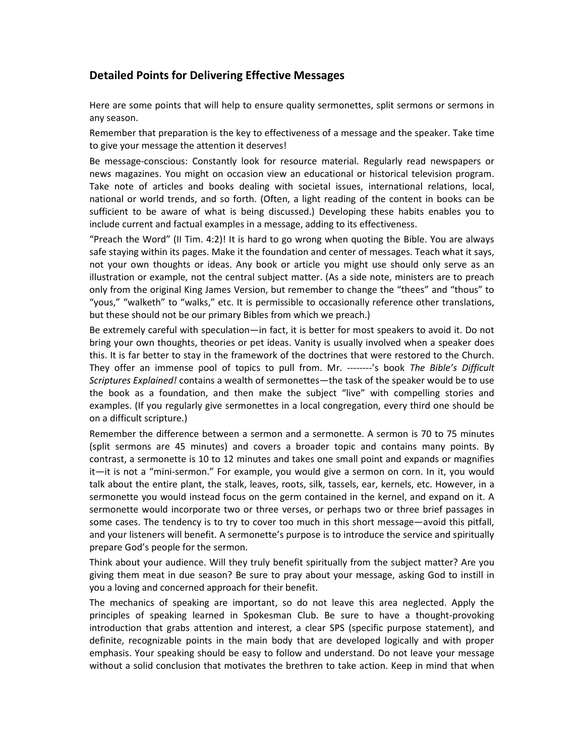## Detailed Points for Delivering Effective Messages

Here are some points that will help to ensure quality sermonettes, split sermons or sermons in any season.

Remember that preparation is the key to effectiveness of a message and the speaker. Take time to give your message the attention it deserves!

Be message-conscious: Constantly look for resource material. Regularly read newspapers or news magazines. You might on occasion view an educational or historical television program. Take note of articles and books dealing with societal issues, international relations, local, national or world trends, and so forth. (Often, a light reading of the content in books can be sufficient to be aware of what is being discussed.) Developing these habits enables you to include current and factual examples in a message, adding to its effectiveness.

"Preach the Word" (II Tim. 4:2)! It is hard to go wrong when quoting the Bible. You are always safe staying within its pages. Make it the foundation and center of messages. Teach what it says, not your own thoughts or ideas. Any book or article you might use should only serve as an illustration or example, not the central subject matter. (As a side note, ministers are to preach only from the original King James Version, but remember to change the "thees" and "thous" to "yous," "walketh" to "walks," etc. It is permissible to occasionally reference other translations, but these should not be our primary Bibles from which we preach.)

Be extremely careful with speculation—in fact, it is better for most speakers to avoid it. Do not bring your own thoughts, theories or pet ideas. Vanity is usually involved when a speaker does this. It is far better to stay in the framework of the doctrines that were restored to the Church. They offer an immense pool of topics to pull from. Mr. --------'s book The Bible's Difficult Scriptures Explained! contains a wealth of sermonettes—the task of the speaker would be to use the book as a foundation, and then make the subject "live" with compelling stories and examples. (If you regularly give sermonettes in a local congregation, every third one should be on a difficult scripture.)

Remember the difference between a sermon and a sermonette. A sermon is 70 to 75 minutes (split sermons are 45 minutes) and covers a broader topic and contains many points. By contrast, a sermonette is 10 to 12 minutes and takes one small point and expands or magnifies it—it is not a "mini-sermon." For example, you would give a sermon on corn. In it, you would talk about the entire plant, the stalk, leaves, roots, silk, tassels, ear, kernels, etc. However, in a sermonette you would instead focus on the germ contained in the kernel, and expand on it. A sermonette would incorporate two or three verses, or perhaps two or three brief passages in some cases. The tendency is to try to cover too much in this short message—avoid this pitfall, and your listeners will benefit. A sermonette's purpose is to introduce the service and spiritually prepare God's people for the sermon.

Think about your audience. Will they truly benefit spiritually from the subject matter? Are you giving them meat in due season? Be sure to pray about your message, asking God to instill in you a loving and concerned approach for their benefit.

The mechanics of speaking are important, so do not leave this area neglected. Apply the principles of speaking learned in Spokesman Club. Be sure to have a thought-provoking introduction that grabs attention and interest, a clear SPS (specific purpose statement), and definite, recognizable points in the main body that are developed logically and with proper emphasis. Your speaking should be easy to follow and understand. Do not leave your message without a solid conclusion that motivates the brethren to take action. Keep in mind that when